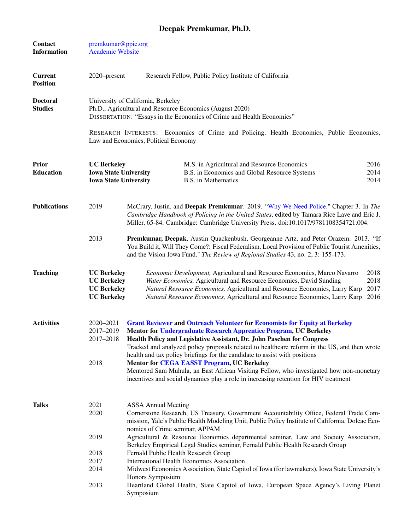## Deepak Premkumar, Ph.D.

| <b>Contact</b><br><b>Information</b> | premkumar@ppic.org<br><b>Academic Website</b>                                                                                                                           |                                                                                                                                                                                                                                                                                                                                                                                                                 |  |  |
|--------------------------------------|-------------------------------------------------------------------------------------------------------------------------------------------------------------------------|-----------------------------------------------------------------------------------------------------------------------------------------------------------------------------------------------------------------------------------------------------------------------------------------------------------------------------------------------------------------------------------------------------------------|--|--|
| <b>Current</b><br><b>Position</b>    | 2020–present                                                                                                                                                            | Research Fellow, Public Policy Institute of California                                                                                                                                                                                                                                                                                                                                                          |  |  |
| <b>Doctoral</b><br><b>Studies</b>    | University of California, Berkeley<br>Ph.D., Agricultural and Resource Economics (August 2020)<br>DISSERTATION: "Essays in the Economics of Crime and Health Economics" |                                                                                                                                                                                                                                                                                                                                                                                                                 |  |  |
|                                      |                                                                                                                                                                         | RESEARCH INTERESTS: Economics of Crime and Policing, Health Economics, Public Economics,<br>Law and Economics, Political Economy                                                                                                                                                                                                                                                                                |  |  |
| <b>Prior</b><br><b>Education</b>     | <b>UC Berkeley</b><br><b>Iowa State University</b><br><b>Iowa State University</b>                                                                                      | M.S. in Agricultural and Resource Economics<br>2016<br>2014<br>B.S. in Economics and Global Resource Systems<br>2014<br><b>B.S.</b> in Mathematics                                                                                                                                                                                                                                                              |  |  |
| <b>Publications</b>                  | 2019                                                                                                                                                                    | McCrary, Justin, and Deepak Premkumar. 2019. "Why We Need Police." Chapter 3. In The<br>Cambridge Handbook of Policing in the United States, edited by Tamara Rice Lave and Eric J.<br>Miller, 65-84. Cambridge: Cambridge University Press. doi:10.1017/9781108354721.004.                                                                                                                                     |  |  |
|                                      | 2013                                                                                                                                                                    | Premkumar, Deepak, Austin Quackenbush, Georgeanne Artz, and Peter Orazem. 2013. "If<br>You Build it, Will They Come?: Fiscal Federalism, Local Provision of Public Tourist Amenities,<br>and the Vision Iowa Fund." The Review of Regional Studies 43, no. 2, 3: 155-173.                                                                                                                                       |  |  |
| <b>Teaching</b>                      | <b>UC Berkeley</b><br><b>UC Berkeley</b><br><b>UC Berkeley</b><br><b>UC Berkeley</b>                                                                                    | 2018<br>Economic Development, Agricultural and Resource Economics, Marco Navarro<br>Water Economics, Agricultural and Resource Economics, David Sunding<br>2018<br>Natural Resource Economics, Agricultural and Resource Economics, Larry Karp<br>2017<br>2016<br>Natural Resource Economics, Agricultural and Resource Economics, Larry Karp                                                                   |  |  |
| <b>Activities</b>                    | 2020-2021<br>2017-2019<br>2017-2018                                                                                                                                     | <b>Grant Reviewer and Outreach Volunteer for Economists for Equity at Berkeley</b><br>Mentor for Undergraduate Research Apprentice Program, UC Berkeley<br>Health Policy and Legislative Assistant, Dr. John Paschen for Congress<br>Tracked and analyzed policy proposals related to healthcare reform in the US, and then wrote<br>health and tax policy briefings for the candidate to assist with positions |  |  |
|                                      | 2018                                                                                                                                                                    | <b>Mentor for CEGA EASST Program, UC Berkeley</b><br>Mentored Sam Muhula, an East African Visiting Fellow, who investigated how non-monetary<br>incentives and social dynamics play a role in increasing retention for HIV treatment                                                                                                                                                                            |  |  |
| <b>Talks</b>                         | 2021<br>2020                                                                                                                                                            | <b>ASSA Annual Meeting</b><br>Cornerstone Research, US Treasury, Government Accountability Office, Federal Trade Com-<br>mission, Yale's Public Health Modeling Unit, Public Policy Institute of California, Doleac Eco-<br>nomics of Crime seminar, APPAM                                                                                                                                                      |  |  |
|                                      | 2019<br>2018                                                                                                                                                            | Agricultural & Resource Economics departmental seminar, Law and Society Association,<br>Berkeley Empirical Legal Studies seminar, Fernald Public Health Research Group<br>Fernald Public Health Research Group                                                                                                                                                                                                  |  |  |
|                                      | 2017                                                                                                                                                                    | <b>International Health Economics Association</b>                                                                                                                                                                                                                                                                                                                                                               |  |  |
|                                      | 2014                                                                                                                                                                    | Midwest Economics Association, State Capitol of Iowa (for lawmakers), Iowa State University's<br>Honors Symposium                                                                                                                                                                                                                                                                                               |  |  |
|                                      | 2013                                                                                                                                                                    | Heartland Global Health, State Capitol of Iowa, European Space Agency's Living Planet<br>Symposium                                                                                                                                                                                                                                                                                                              |  |  |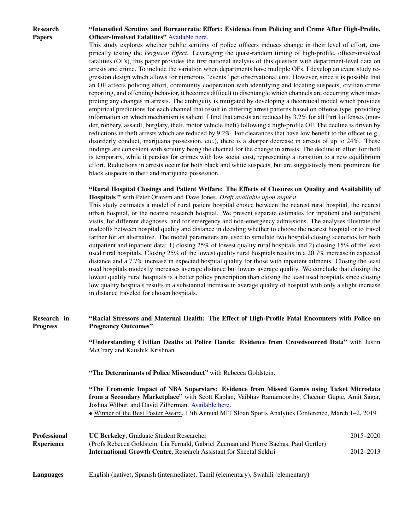Research Papers

## "Intensified Scrutiny and Bureaucratic Effort: Evidence from Policing and Crime After High-Profile, Officer-Involved Fatalities" [Available here.](https://www.dropbox.com/s/vsobhqvimbu0lv7/Paper-%20Ferguson%20Effect.pdf?dl=0)

This study explores whether public scrutiny of police officers induces change in their level of effort, empirically testing the *Ferguson Effect*. Leveraging the quasi-random timing of high-profile, officer-involved fatalities (OFs), this paper provides the first national analysis of this question with department-level data on arrests and crime. To include the variation when departments have multiple OFs, I develop an event study regression design which allows for numerous "events" per observational unit. However, since it is possible that an OF affects policing effort, community cooperation with identifying and locating suspects, civilian crime reporting, and offending behavior, it becomes difficult to disentangle which channels are occurring when interpreting any changes in arrests. The ambiguity is mitigated by developing a theoretical model which provides empirical predictions for each channel that result in differing arrest patterns based on offense type, providing information on which mechanism is salient. I find that arrests are reduced by 3.2% for all Part I offenses (murder, robbery, assault, burglary, theft, motor vehicle theft) following a high-profile OF. The decline is driven by reductions in theft arrests which are reduced by 9.2%. For clearances that have low benefit to the officer (e.g., disorderly conduct, marijuana possession, etc.), there is a sharper decrease in arrests of up to 24%. These findings are consistent with scrutiny being the channel for the change in arrests. The decline in effort for theft is temporary, while it persists for crimes with low social cost, representing a transition to a new equilibrium effort. Reductions in arrests occur for both black and white suspects, but are suggestively more prominent for black suspects in theft and marijuana possession.

## "Rural Hospital Closings and Patient Welfare: The Effects of Closures on Quality and Availability of Hospitals " with Peter Orazem and Dave Jones. *Draft available upon request*.

This study estimates a model of rural patient hospital choice between the nearest rural hospital, the nearest urban hospital, or the nearest research hospital. We present separate estimates for inpatient and outpatient visits, for different diagnoses, and for emergency and non-emergency admissions. The analyses illustrate the tradeoffs between hospital quality and distance in deciding whether to choose the nearest hospital or to travel farther for an alternative. The model parameters are used to simulate two hospital closing scenarios for both outpatient and inpatient data: 1) closing 25% of lowest quality rural hospitals and 2) closing 15% of the least used rural hospitals. Closing 25% of the lowest quality rural hospitals results in a 20.7% increase in expected distance and a 7.7% increase in expected hospital quality for those with inpatient ailments. Closing the least used hospitals modestly increases average distance but lowers average quality. We conclude that closing the lowest quality rural hospitals is a better policy prescription than closing the least used hospitals since closing low quality hospitals results in a substantial increase in average quality of hospital with only a slight increase in distance traveled for chosen hospitals.

## Research in Progress "Racial Stressors and Maternal Health: The Effect of High-Profile Fatal Encounters with Police on Pregnancy Outcomes" "Understanding Civilian Deaths at Police Hands: Evidence from Crowdsourced Data" with Justin McCrary and Kaushik Krishnan. "The Determinants of Police Misconduct" with Rebecca Goldstein. "The Economic Impact of NBA Superstars: Evidence from Missed Games using Ticket Microdata from a Secondary Marketplace" with Scott Kaplan, Vaibhav Ramamoorthy, Cheenar Gupte, Amit Sagar, Joshua Wilbur, and David Zilberman. [Available here.](http://www.sloansportsconference.com/wp-content/uploads/2019/04/KaplanEtAl_13389_FullPaperSubmission_RevisedEquations.pdf) • Winner of the Best Poster Award, 13th Annual MIT Sloan Sports Analytics Conference, March 1–2, 2019 Professional Experience UC Berkeley, Graduate Student Researcher 2015–2020 (Profs Rebecca Goldstein, Lia Fernald, Gabriel Zucman and Pierre Bachas, Paul Gertler) International Growth Centre, Research Assistant for Sheetal Sekhri 2012–2013 Languages English (native), Spanish (intermediate), Tamil (elementary), Swahili (elementary)